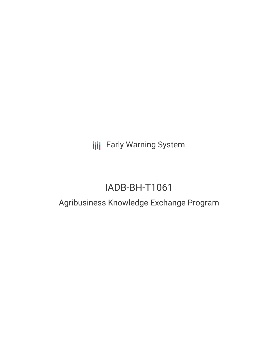**III** Early Warning System

# IADB-BH-T1061

## Agribusiness Knowledge Exchange Program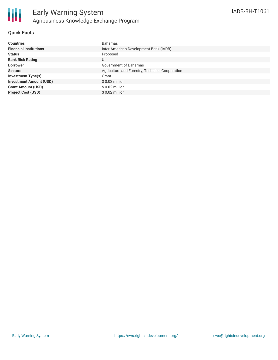

#### **Quick Facts**

| <b>Countries</b>               | <b>Bahamas</b>                                  |
|--------------------------------|-------------------------------------------------|
| <b>Financial Institutions</b>  | Inter-American Development Bank (IADB)          |
| <b>Status</b>                  | Proposed                                        |
| <b>Bank Risk Rating</b>        | U                                               |
| <b>Borrower</b>                | Government of Bahamas                           |
| <b>Sectors</b>                 | Agriculture and Forestry, Technical Cooperation |
| <b>Investment Type(s)</b>      | Grant                                           |
| <b>Investment Amount (USD)</b> | $$0.02$ million                                 |
| <b>Grant Amount (USD)</b>      | $$0.02$ million                                 |
| <b>Project Cost (USD)</b>      | $$0.02$ million                                 |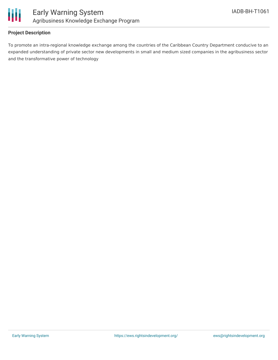

#### **Project Description**

To promote an intra-regional knowledge exchange among the countries of the Caribbean Country Department conducive to an expanded understanding of private sector new developments in small and medium sized companies in the agribusiness sector and the transformative power of technology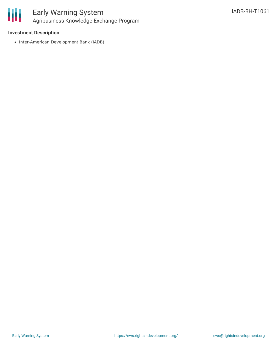

### Early Warning System Agribusiness Knowledge Exchange Program

#### **Investment Description**

• Inter-American Development Bank (IADB)